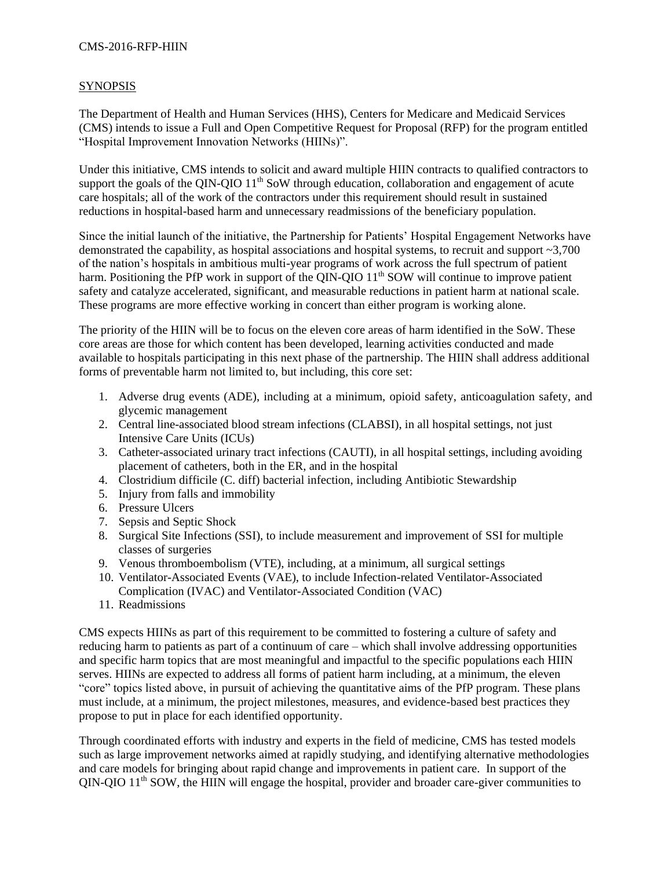## CMS-2016-RFP-HIIN

## **SYNOPSIS**

The Department of Health and Human Services (HHS), Centers for Medicare and Medicaid Services (CMS) intends to issue a Full and Open Competitive Request for Proposal (RFP) for the program entitled "Hospital Improvement Innovation Networks (HIINs)".

Under this initiative, CMS intends to solicit and award multiple HIIN contracts to qualified contractors to support the goals of the QIN-QIO  $11<sup>th</sup>$  SoW through education, collaboration and engagement of acute care hospitals; all of the work of the contractors under this requirement should result in sustained reductions in hospital-based harm and unnecessary readmissions of the beneficiary population.

Since the initial launch of the initiative, the Partnership for Patients' Hospital Engagement Networks have demonstrated the capability, as hospital associations and hospital systems, to recruit and support ~3,700 of the nation's hospitals in ambitious multi-year programs of work across the full spectrum of patient harm. Positioning the PfP work in support of the QIN-QIO 11<sup>th</sup> SOW will continue to improve patient safety and catalyze accelerated, significant, and measurable reductions in patient harm at national scale. These programs are more effective working in concert than either program is working alone.

The priority of the HIIN will be to focus on the eleven core areas of harm identified in the SoW. These core areas are those for which content has been developed, learning activities conducted and made available to hospitals participating in this next phase of the partnership. The HIIN shall address additional forms of preventable harm not limited to, but including, this core set:

- 1. Adverse drug events (ADE), including at a minimum, opioid safety, anticoagulation safety, and glycemic management
- 2. Central line-associated blood stream infections (CLABSI), in all hospital settings, not just Intensive Care Units (ICUs)
- 3. Catheter-associated urinary tract infections (CAUTI), in all hospital settings, including avoiding placement of catheters, both in the ER, and in the hospital
- 4. Clostridium difficile (C. diff) bacterial infection, including Antibiotic Stewardship
- 5. Injury from falls and immobility
- 6. Pressure Ulcers
- 7. Sepsis and Septic Shock
- 8. Surgical Site Infections (SSI), to include measurement and improvement of SSI for multiple classes of surgeries
- 9. Venous thromboembolism (VTE), including, at a minimum, all surgical settings
- 10. Ventilator-Associated Events (VAE), to include Infection-related Ventilator-Associated Complication (IVAC) and Ventilator-Associated Condition (VAC)
- 11. Readmissions

CMS expects HIINs as part of this requirement to be committed to fostering a culture of safety and reducing harm to patients as part of a continuum of care – which shall involve addressing opportunities and specific harm topics that are most meaningful and impactful to the specific populations each HIIN serves. HIINs are expected to address all forms of patient harm including, at a minimum, the eleven "core" topics listed above, in pursuit of achieving the quantitative aims of the PfP program. These plans must include, at a minimum, the project milestones, measures, and evidence-based best practices they propose to put in place for each identified opportunity.

Through coordinated efforts with industry and experts in the field of medicine, CMS has tested models such as large improvement networks aimed at rapidly studying, and identifying alternative methodologies and care models for bringing about rapid change and improvements in patient care. In support of the  $QIN-QIO$   $11<sup>th</sup>$  SOW, the HIIN will engage the hospital, provider and broader care-giver communities to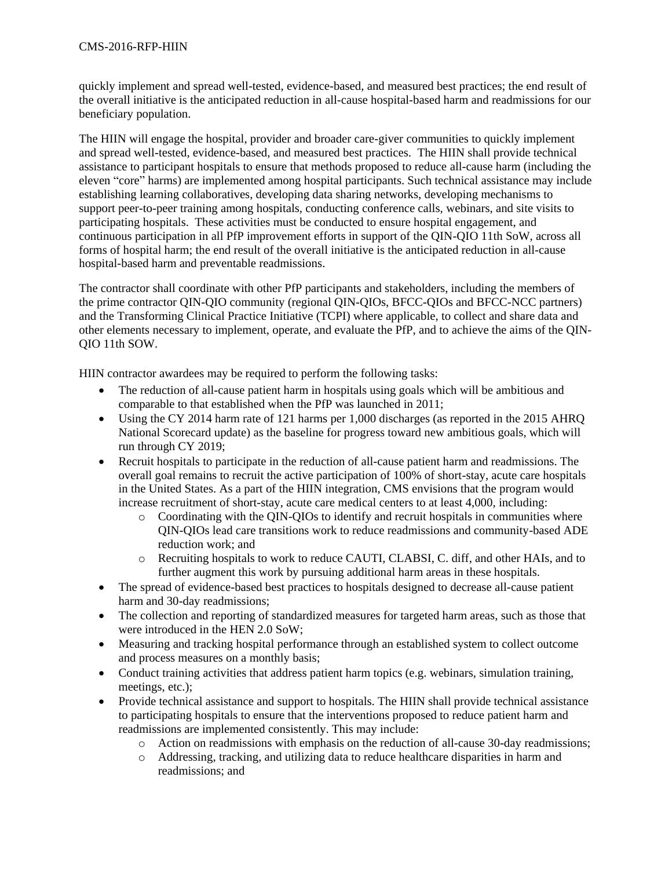quickly implement and spread well-tested, evidence-based, and measured best practices; the end result of the overall initiative is the anticipated reduction in all-cause hospital-based harm and readmissions for our beneficiary population.

The HIIN will engage the hospital, provider and broader care-giver communities to quickly implement and spread well-tested, evidence-based, and measured best practices. The HIIN shall provide technical assistance to participant hospitals to ensure that methods proposed to reduce all-cause harm (including the eleven "core" harms) are implemented among hospital participants. Such technical assistance may include establishing learning collaboratives, developing data sharing networks, developing mechanisms to support peer-to-peer training among hospitals, conducting conference calls, webinars, and site visits to participating hospitals. These activities must be conducted to ensure hospital engagement, and continuous participation in all PfP improvement efforts in support of the QIN-QIO 11th SoW, across all forms of hospital harm; the end result of the overall initiative is the anticipated reduction in all-cause hospital-based harm and preventable readmissions.

The contractor shall coordinate with other PfP participants and stakeholders, including the members of the prime contractor QIN-QIO community (regional QIN-QIOs, BFCC-QIOs and BFCC-NCC partners) and the Transforming Clinical Practice Initiative (TCPI) where applicable, to collect and share data and other elements necessary to implement, operate, and evaluate the PfP, and to achieve the aims of the QIN-QIO 11th SOW.

HIIN contractor awardees may be required to perform the following tasks:

- The reduction of all-cause patient harm in hospitals using goals which will be ambitious and comparable to that established when the PfP was launched in 2011;
- Using the CY 2014 harm rate of 121 harms per 1,000 discharges (as reported in the 2015 AHRQ National Scorecard update) as the baseline for progress toward new ambitious goals, which will run through CY 2019;
- Recruit hospitals to participate in the reduction of all-cause patient harm and readmissions. The overall goal remains to recruit the active participation of 100% of short-stay, acute care hospitals in the United States. As a part of the HIIN integration, CMS envisions that the program would increase recruitment of short-stay, acute care medical centers to at least 4,000, including:
	- o Coordinating with the QIN-QIOs to identify and recruit hospitals in communities where QIN-QIOs lead care transitions work to reduce readmissions and community-based ADE reduction work; and
	- o Recruiting hospitals to work to reduce CAUTI, CLABSI, C. diff, and other HAIs, and to further augment this work by pursuing additional harm areas in these hospitals.
- The spread of evidence-based best practices to hospitals designed to decrease all-cause patient harm and 30-day readmissions;
- The collection and reporting of standardized measures for targeted harm areas, such as those that were introduced in the HEN 2.0 SoW;
- Measuring and tracking hospital performance through an established system to collect outcome and process measures on a monthly basis;
- Conduct training activities that address patient harm topics (e.g. webinars, simulation training, meetings, etc.);
- Provide technical assistance and support to hospitals. The HIIN shall provide technical assistance to participating hospitals to ensure that the interventions proposed to reduce patient harm and readmissions are implemented consistently. This may include:
	- o Action on readmissions with emphasis on the reduction of all-cause 30-day readmissions;
	- o Addressing, tracking, and utilizing data to reduce healthcare disparities in harm and readmissions; and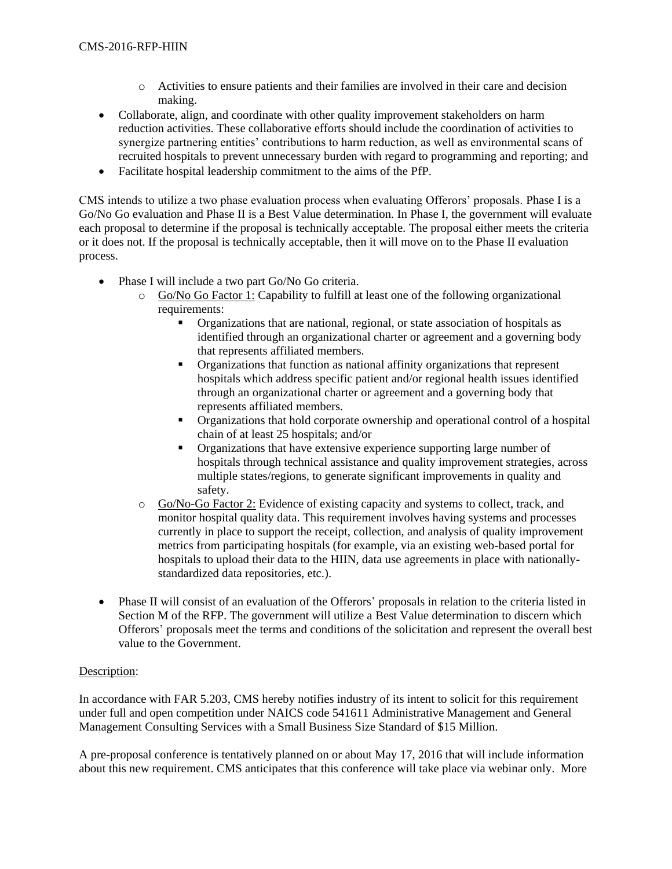- o Activities to ensure patients and their families are involved in their care and decision making.
- Collaborate, align, and coordinate with other quality improvement stakeholders on harm reduction activities. These collaborative efforts should include the coordination of activities to synergize partnering entities' contributions to harm reduction, as well as environmental scans of recruited hospitals to prevent unnecessary burden with regard to programming and reporting; and
- Facilitate hospital leadership commitment to the aims of the PfP.

CMS intends to utilize a two phase evaluation process when evaluating Offerors' proposals. Phase I is a Go/No Go evaluation and Phase II is a Best Value determination. In Phase I, the government will evaluate each proposal to determine if the proposal is technically acceptable. The proposal either meets the criteria or it does not. If the proposal is technically acceptable, then it will move on to the Phase II evaluation process.

- Phase I will include a two part Go/No Go criteria.
	- o Go/No Go Factor 1: Capability to fulfill at least one of the following organizational requirements:
		- Organizations that are national, regional, or state association of hospitals as identified through an organizational charter or agreement and a governing body that represents affiliated members.
		- Organizations that function as national affinity organizations that represent hospitals which address specific patient and/or regional health issues identified through an organizational charter or agreement and a governing body that represents affiliated members.
		- Organizations that hold corporate ownership and operational control of a hospital chain of at least 25 hospitals; and/or
		- Organizations that have extensive experience supporting large number of hospitals through technical assistance and quality improvement strategies, across multiple states/regions, to generate significant improvements in quality and safety.
	- o Go/No-Go Factor 2: Evidence of existing capacity and systems to collect, track, and monitor hospital quality data. This requirement involves having systems and processes currently in place to support the receipt, collection, and analysis of quality improvement metrics from participating hospitals (for example, via an existing web-based portal for hospitals to upload their data to the HIIN, data use agreements in place with nationallystandardized data repositories, etc.).
- Phase II will consist of an evaluation of the Offerors' proposals in relation to the criteria listed in Section M of the RFP. The government will utilize a Best Value determination to discern which Offerors' proposals meet the terms and conditions of the solicitation and represent the overall best value to the Government.

## Description:

In accordance with FAR 5.203, CMS hereby notifies industry of its intent to solicit for this requirement under full and open competition under NAICS code 541611 Administrative Management and General Management Consulting Services with a Small Business Size Standard of \$15 Million.

A pre-proposal conference is tentatively planned on or about May 17, 2016 that will include information about this new requirement. CMS anticipates that this conference will take place via webinar only. More